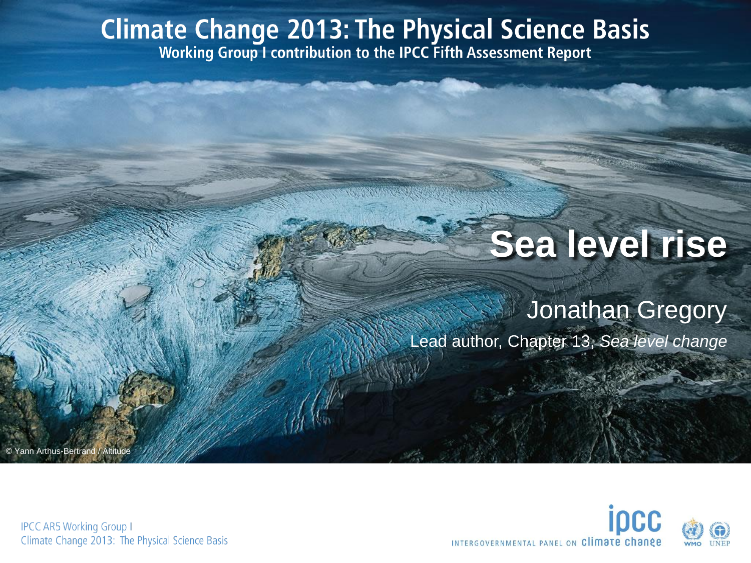# **Climate Change 2013: The Physical Science Basis**<br>Working Group I contribution to the IPCC Fifth Assessment Report

## **Sea level rise**

#### Jonathan Gregory

Lead author, Chapter 13, *Sea level change*

Yann Arthus-Bertra

INTERGOVERNMENTAL PANEL ON Climate chang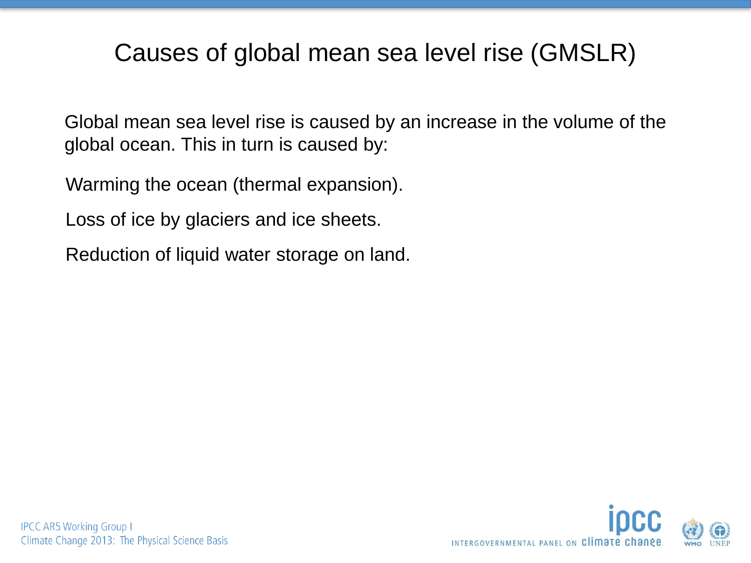#### Causes of global mean sea level rise (GMSLR)

Global mean sea level rise is caused by an increase in the volume of the global ocean. This in turn is caused by:

Warming the ocean (thermal expansion).

Loss of ice by glaciers and ice sheets.

Reduction of liquid water storage on land.

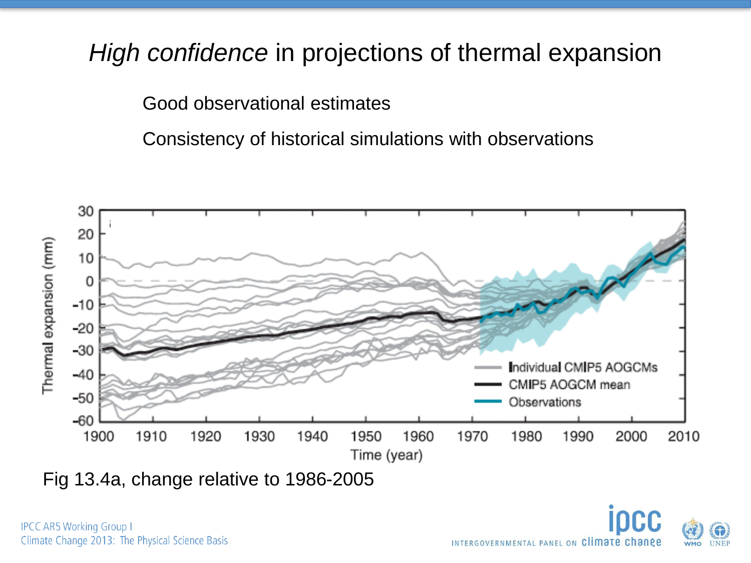#### *High confidence* in projections of thermal expansion

Good observational estimates

Consistency of historical simulations with observations



Fig 13.4a, change relative to 1986-2005

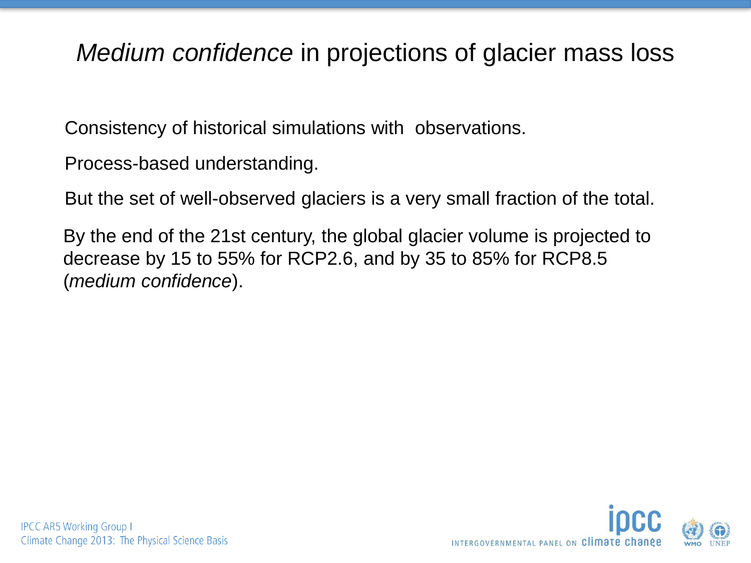#### *Medium confidence* in projections of glacier mass loss

Consistency of historical simulations with observations.

Process-based understanding.

But the set of well-observed glaciers is a very small fraction of the total.

By the end of the 21st century, the global glacier volume is projected to decrease by 15 to 55% for RCP2.6, and by 35 to 85% for RCP8.5 (*medium confidence*).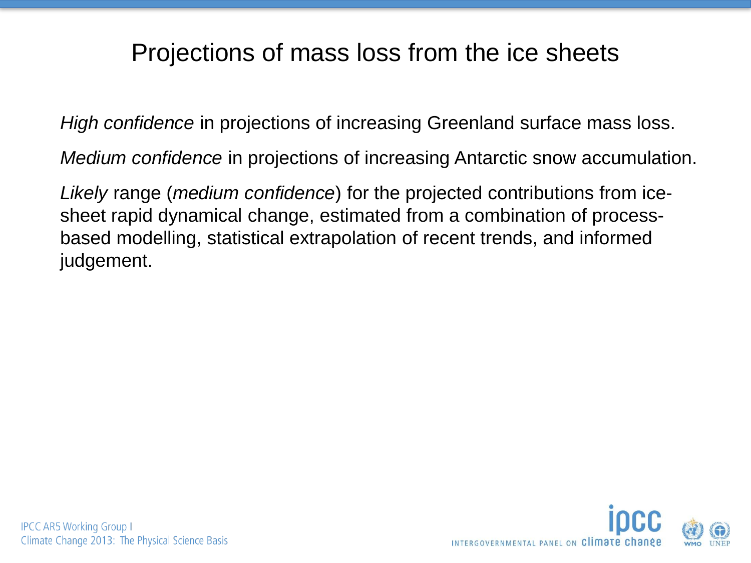#### Projections of mass loss from the ice sheets

*High confidence* in projections of increasing Greenland surface mass loss.

*Medium confidence* in projections of increasing Antarctic snow accumulation.

*Likely* range (*medium confidence*) for the projected contributions from icesheet rapid dynamical change, estimated from a combination of processbased modelling, statistical extrapolation of recent trends, and informed judgement.

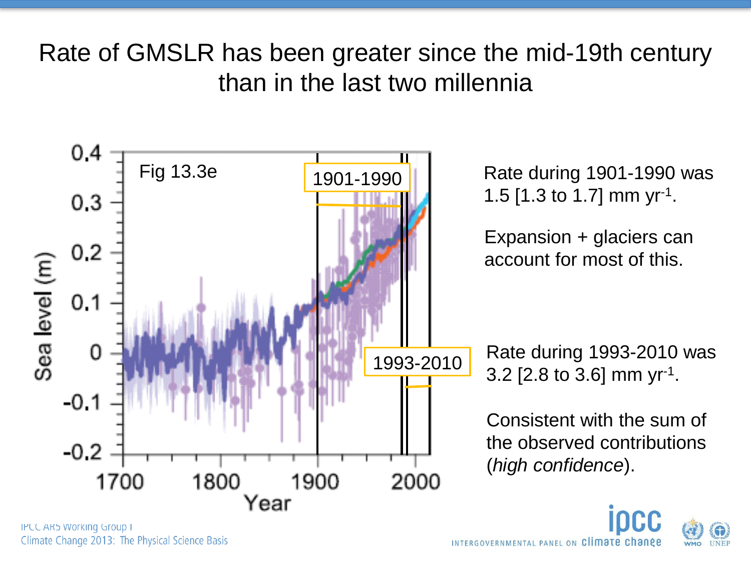#### Rate of GMSLR has been greater since the mid-19th century than in the last two millennia



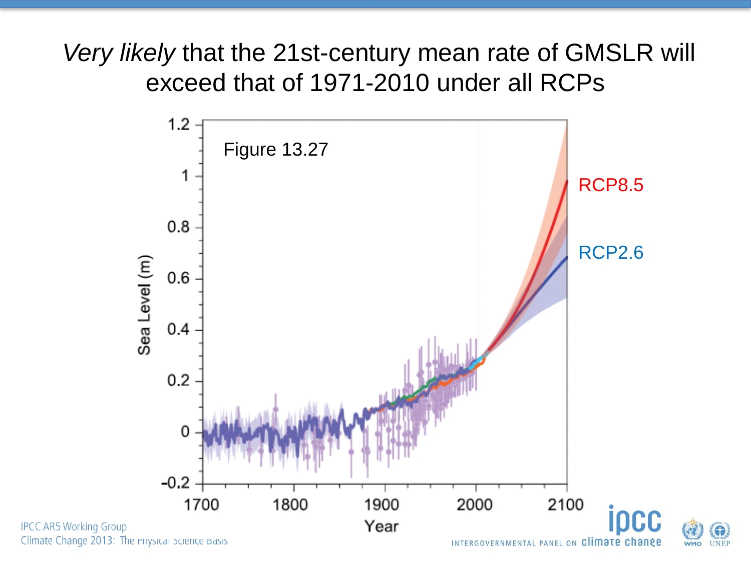*Very likely* that the 21st-century mean rate of GMSLR will exceed that of 1971-2010 under all RCPs





**IPCC AR5 Working Group** Climate Change 2013: The Priysical Science Basis

INTERGOVERNMENTAL PANEL ON Climate change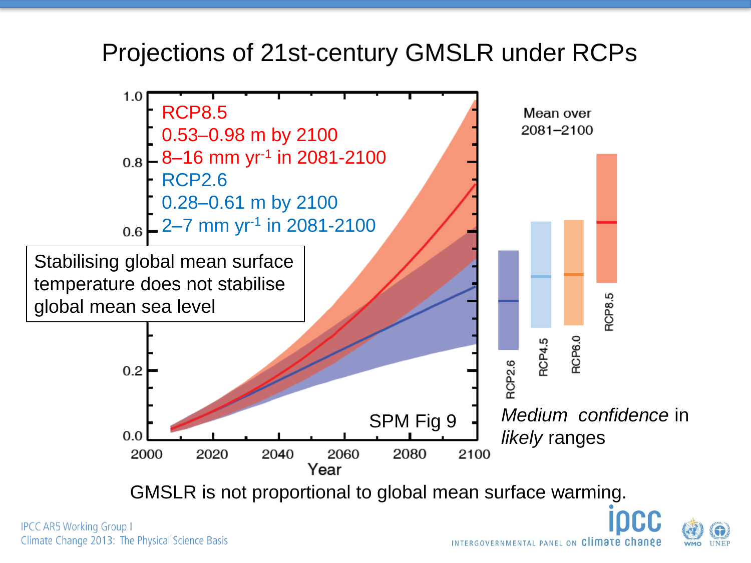#### Projections of 21st-century GMSLR under RCPs



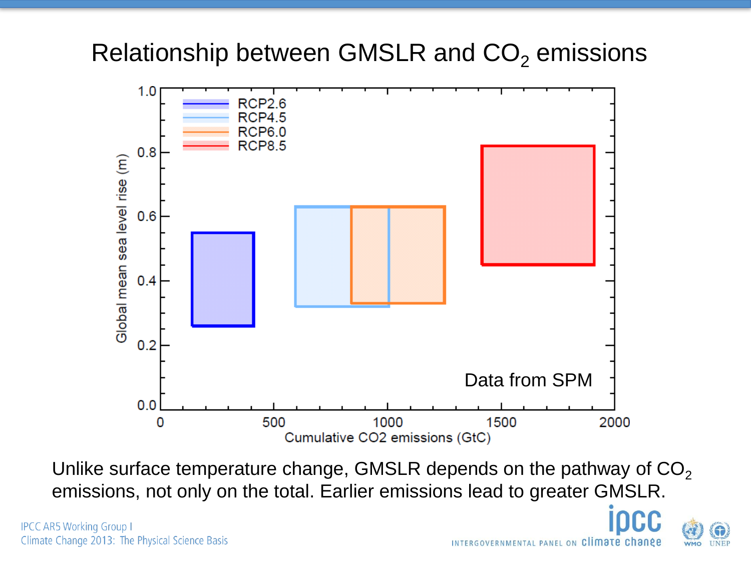#### Relationship between GMSLR and  $CO<sub>2</sub>$  emissions



Unlike surface temperature change, GMSLR depends on the pathway of  $CO<sub>2</sub>$ emissions, not only on the total. Earlier emissions lead to greater GMSLR.

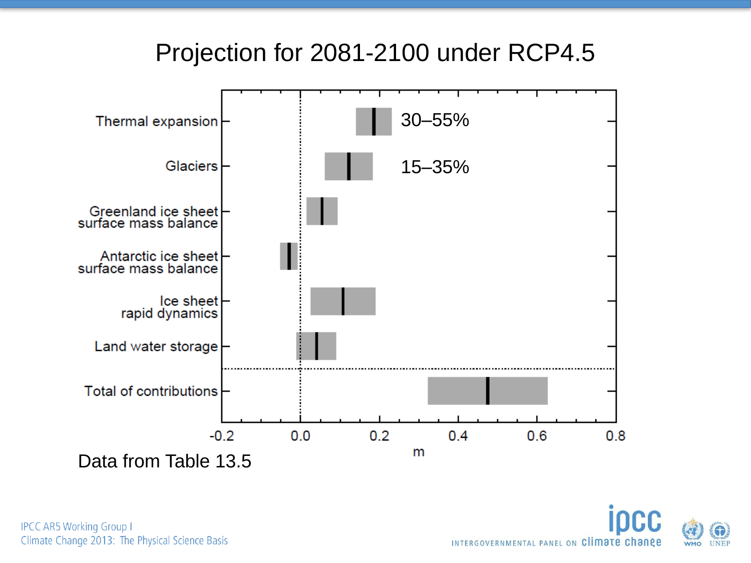#### Projection for 2081-2100 under RCP4.5



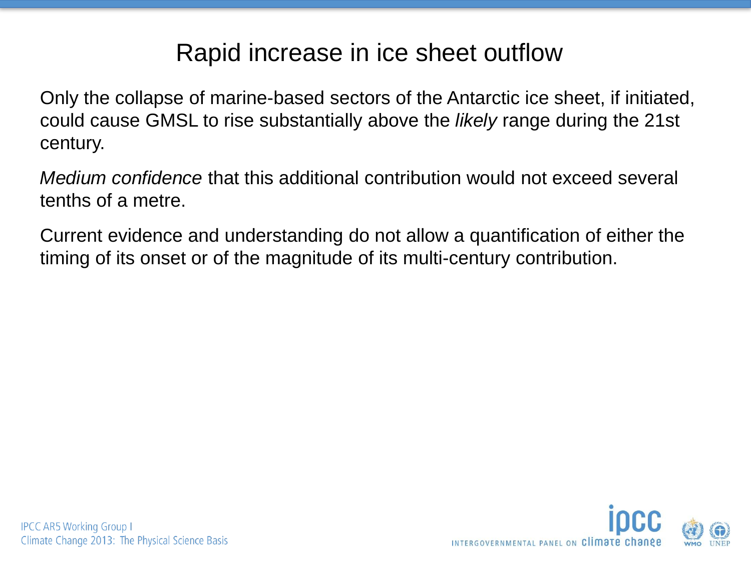#### Rapid increase in ice sheet outflow

Only the collapse of marine-based sectors of the Antarctic ice sheet, if initiated, could cause GMSL to rise substantially above the *likely* range during the 21st century.

*Medium confidence* that this additional contribution would not exceed several tenths of a metre.

Current evidence and understanding do not allow a quantification of either the timing of its onset or of the magnitude of its multi-century contribution.

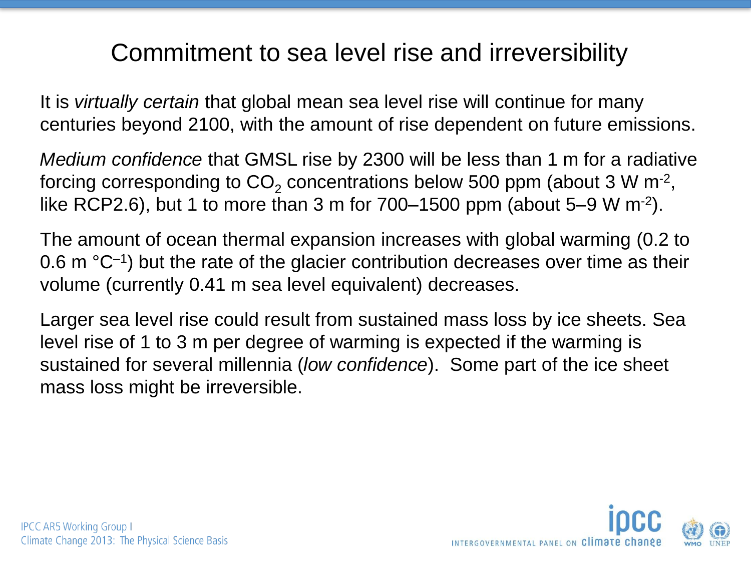#### Commitment to sea level rise and irreversibility

It is *virtually certain* that global mean sea level rise will continue for many centuries beyond 2100, with the amount of rise dependent on future emissions.

*Medium confidence* that GMSL rise by 2300 will be less than 1 m for a radiative forcing corresponding to CO<sub>2</sub> concentrations below 500 ppm (about 3 W m<sup>-2</sup>, like RCP2.6), but 1 to more than 3 m for  $700-1500$  ppm (about 5–9 W m<sup>-2</sup>).

The amount of ocean thermal expansion increases with global warming (0.2 to 0.6 m  $^{\circ}$ C<sup>-1</sup>) but the rate of the glacier contribution decreases over time as their volume (currently 0.41 m sea level equivalent) decreases.

Larger sea level rise could result from sustained mass loss by ice sheets. Sea level rise of 1 to 3 m per degree of warming is expected if the warming is sustained for several millennia (*low confidence*). Some part of the ice sheet mass loss might be irreversible.



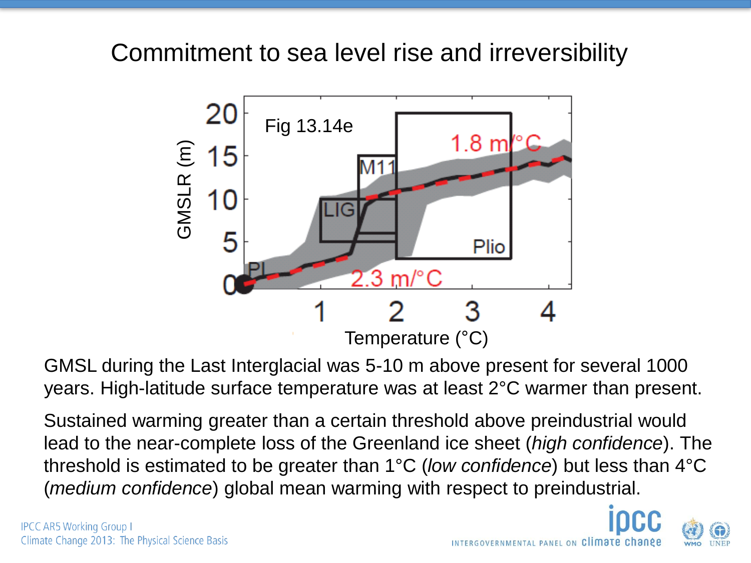#### Commitment to sea level rise and irreversibility



GMSL during the Last Interglacial was 5-10 m above present for several 1000 years. High-latitude surface temperature was at least 2°C warmer than present.

Sustained warming greater than a certain threshold above preindustrial would lead to the near-complete loss of the Greenland ice sheet (*high confidence*). The threshold is estimated to be greater than 1°C (*low confidence*) but less than 4°C (*medium confidence*) global mean warming with respect to preindustrial.

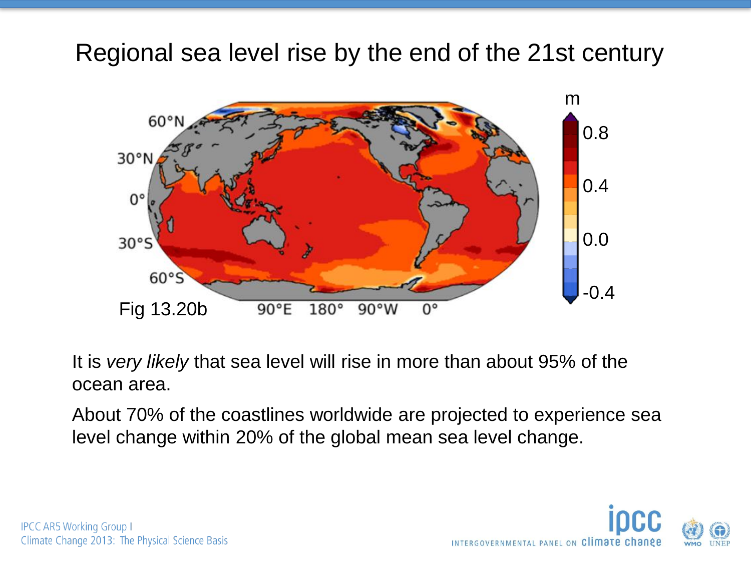Regional sea level rise by the end of the 21st century



It is *very likely* that sea level will rise in more than about 95% of the ocean area.

About 70% of the coastlines worldwide are projected to experience sea level change within 20% of the global mean sea level change.

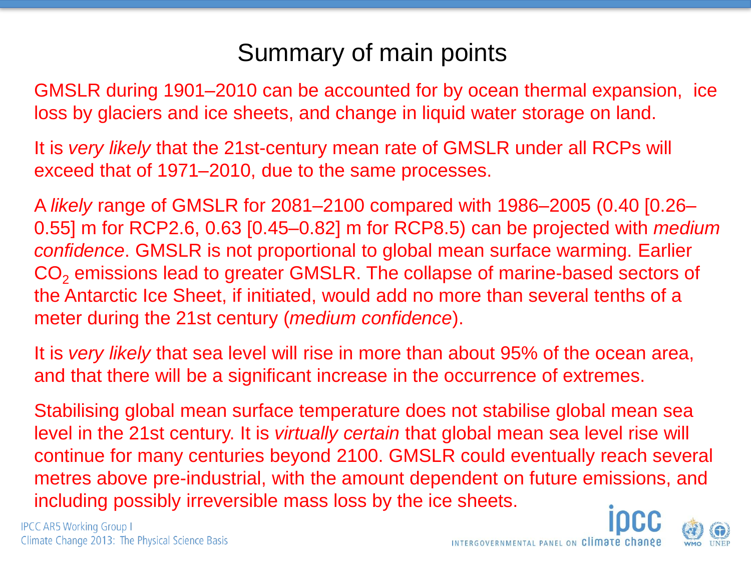#### Summary of main points

GMSLR during 1901–2010 can be accounted for by ocean thermal expansion, ice loss by glaciers and ice sheets, and change in liquid water storage on land.

It is *very likely* that the 21st-century mean rate of GMSLR under all RCPs will exceed that of 1971–2010, due to the same processes.

A *likely* range of GMSLR for 2081–2100 compared with 1986–2005 (0.40 [0.26– 0.55] m for RCP2.6, 0.63 [0.45–0.82] m for RCP8.5) can be projected with *medium confidence*. GMSLR is not proportional to global mean surface warming. Earlier CO<sub>2</sub> emissions lead to greater GMSLR. The collapse of marine-based sectors of the Antarctic Ice Sheet, if initiated, would add no more than several tenths of a meter during the 21st century (*medium confidence*).

It is *very likely* that sea level will rise in more than about 95% of the ocean area, and that there will be a significant increase in the occurrence of extremes.

Stabilising global mean surface temperature does not stabilise global mean sea level in the 21st century. It is *virtually certain* that global mean sea level rise will continue for many centuries beyond 2100. GMSLR could eventually reach several metres above pre-industrial, with the amount dependent on future emissions, and including possibly irreversible mass loss by the ice sheets.